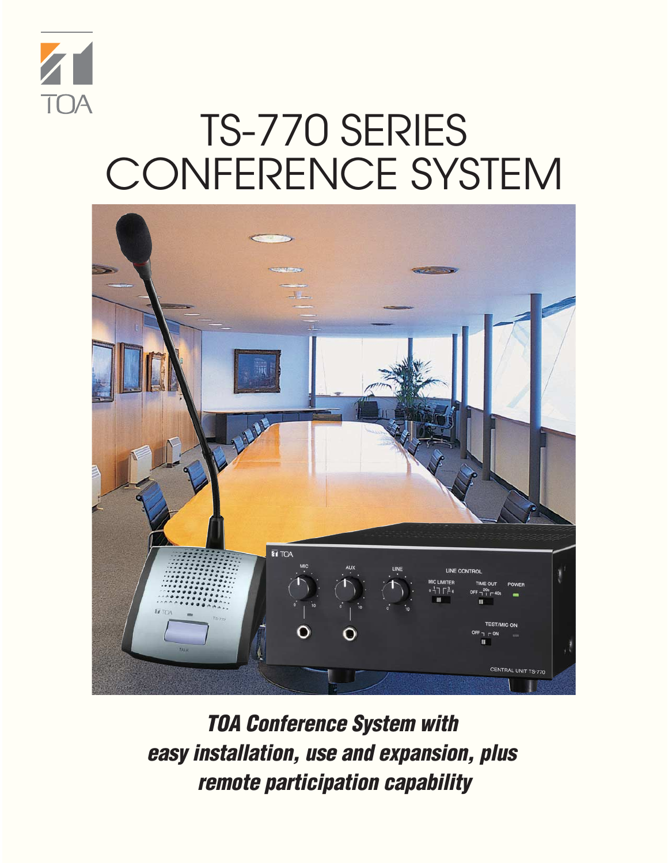

## TS-770 SERIES CONFERENCE SYSTEM



**TOA Conference System with easy installation, use and expansion, plus remote participation capability**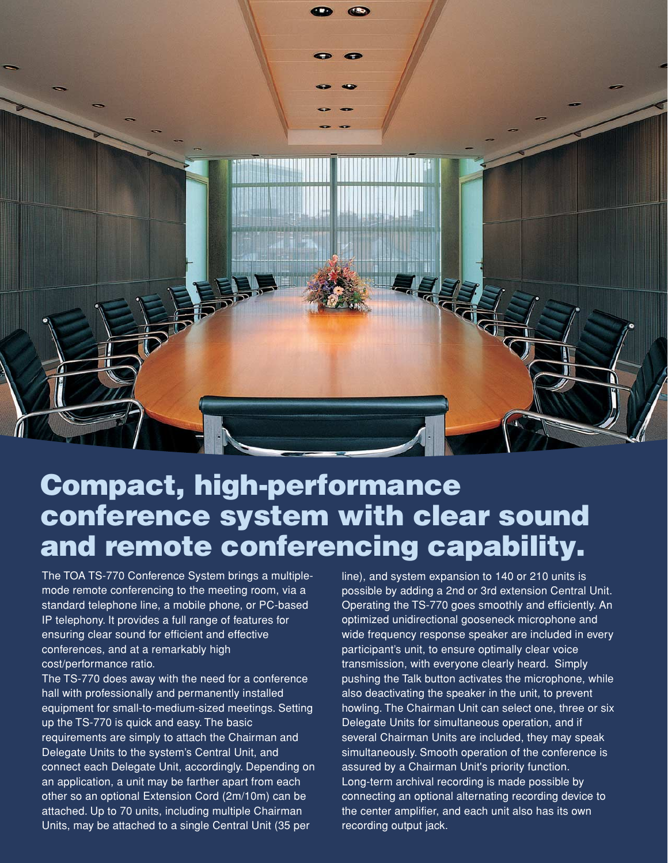

## **Compact, high-performance conference system with clear sound and remote conferencing capability.**

The TOA TS-770 Conference System brings a multiplemode remote conferencing to the meeting room, via a standard telephone line, a mobile phone, or PC-based IP telephony. It provides a full range of features for ensuring clear sound for efficient and effective conferences, and at a remarkably high cost/performance ratio.

The TS-770 does away with the need for a conference hall with professionally and permanently installed equipment for small-to-medium-sized meetings. Setting up the TS-770 is quick and easy. The basic requirements are simply to attach the Chairman and Delegate Units to the system's Central Unit, and connect each Delegate Unit, accordingly. Depending on an application, a unit may be farther apart from each other so an optional Extension Cord (2m/10m) can be attached. Up to 70 units, including multiple Chairman Units, may be attached to a single Central Unit (35 per

line), and system expansion to 140 or 210 units is possible by adding a 2nd or 3rd extension Central Unit. Operating the TS-770 goes smoothly and efficiently. An optimized unidirectional gooseneck microphone and wide frequency response speaker are included in every participant's unit, to ensure optimally clear voice transmission, with everyone clearly heard. Simply pushing the Talk button activates the microphone, while also deactivating the speaker in the unit, to prevent howling. The Chairman Unit can select one, three or six Delegate Units for simultaneous operation, and if several Chairman Units are included, they may speak simultaneously. Smooth operation of the conference is assured by a Chairman Unit's priority function. Long-term archival recording is made possible by connecting an optional alternating recording device to the center amplifier, and each unit also has its own recording output jack.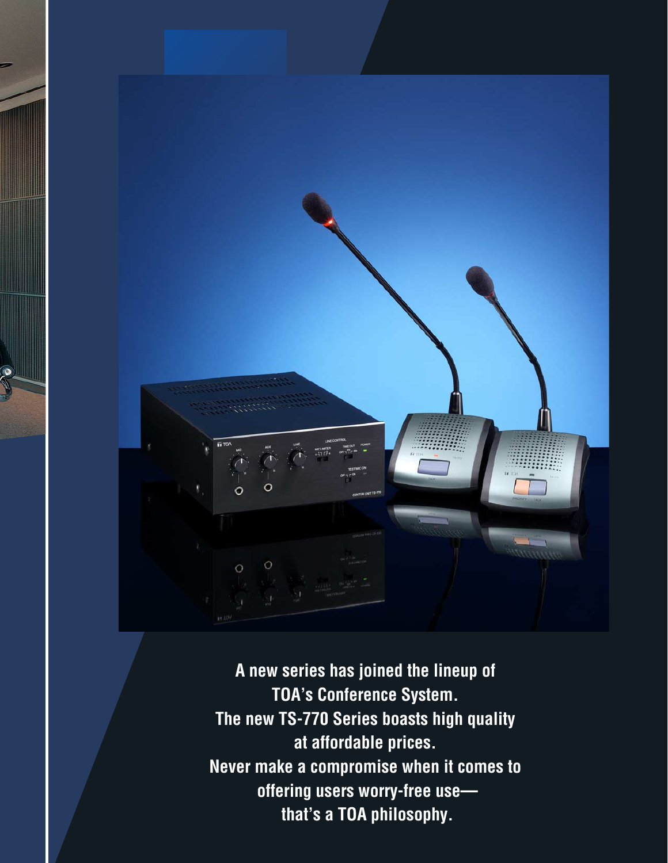

**A new series has joined the lineup of TOA's Conference System. The new TS-770 Series boasts high quality at affordable prices. Never make a compromise when it comes to offering users worry-free use that's a TOA philosophy.**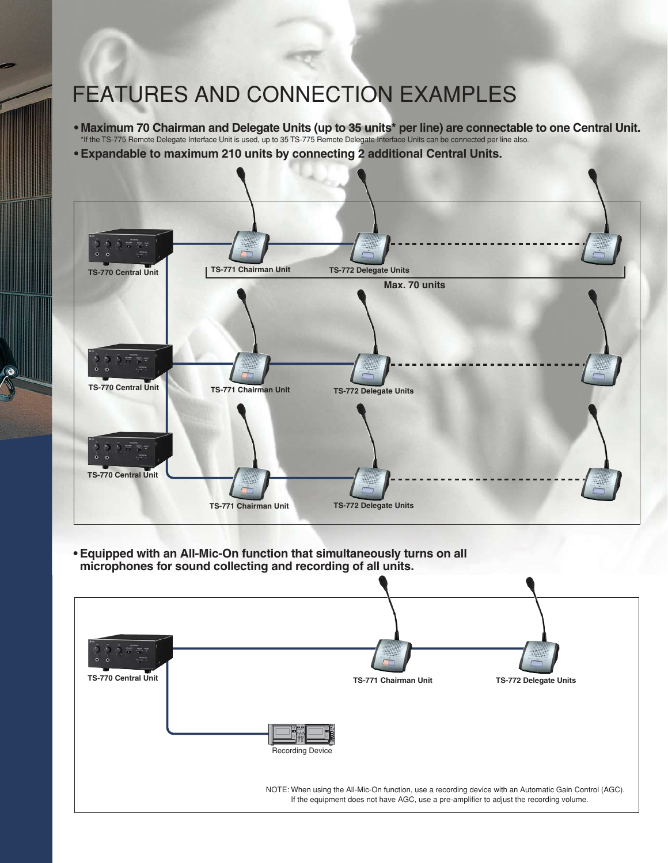## FEATURES AND CONNECTION EXAMPLES

**• Maximum 70 Chairman and Delegate Units (up to 35 units\* per line) are connectable to one Central Unit.**  \*If the TS-775 Remote Delegate Interface Unit is used, up to 35 TS-775 Remote Delegate Interface Units can be connected per line also.



**• Equipped with an All-Mic-On function that simultaneously turns on all microphones for sound collecting and recording of all units.**

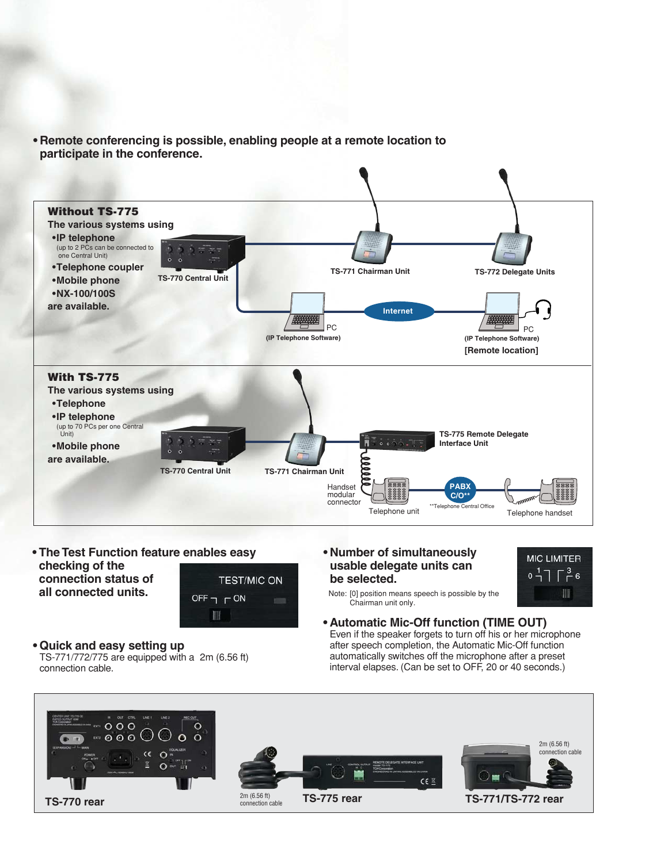**• Remote conferencing is possible, enabling people at a remote location to participate in the conference.**



**• The Test Function feature enables easy checking of the connection status of all connected units.**



**• Quick and easy setting up** 

TS-771/772/775 are equipped with a 2m (6.56 ft) connection cable.

**• Number of simultaneously usable delegate units can be selected.**



Note: [0] position means speech is possible by the Chairman unit only.

**• Automatic Mic-Off function (TIME OUT)** 

Even if the speaker forgets to turn off his or her microphone after speech completion, the Automatic Mic-Off function automatically switches off the microphone after a preset interval elapses. (Can be set to OFF, 20 or 40 seconds.)